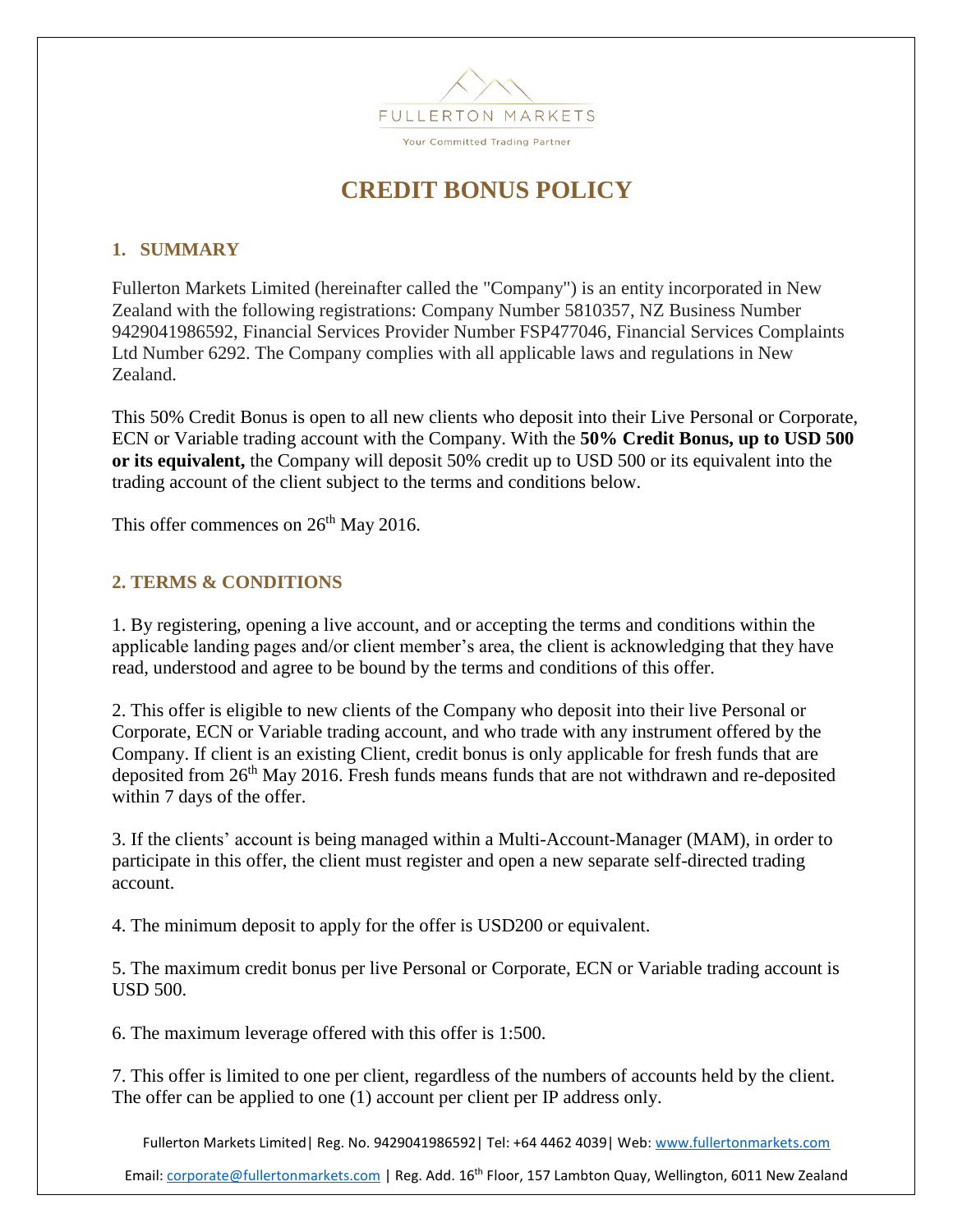

## **CREDIT BONUS POLICY**

## **1. SUMMARY**

Fullerton Markets Limited (hereinafter called the "Company") is an entity incorporated in New Zealand with the following registrations: Company Number 5810357, NZ Business Number 9429041986592, Financial Services Provider Number FSP477046, Financial Services Complaints Ltd Number 6292. The Company complies with all applicable laws and regulations in New Zealand.

This 50% Credit Bonus is open to all new clients who deposit into their Live Personal or Corporate, ECN or Variable trading account with the Company. With the **50% Credit Bonus, up to USD 500 or its equivalent,** the Company will deposit 50% credit up to USD 500 or its equivalent into the trading account of the client subject to the terms and conditions below.

This offer commences on 26<sup>th</sup> May 2016.

## **2. TERMS & CONDITIONS**

1. By registering, opening a live account, and or accepting the terms and conditions within the applicable landing pages and/or client member's area, the client is acknowledging that they have read, understood and agree to be bound by the terms and conditions of this offer.

2. This offer is eligible to new clients of the Company who deposit into their live Personal or Corporate, ECN or Variable trading account, and who trade with any instrument offered by the Company. If client is an existing Client, credit bonus is only applicable for fresh funds that are deposited from 26th May 2016. Fresh funds means funds that are not withdrawn and re-deposited within 7 days of the offer.

3. If the clients' account is being managed within a Multi-Account-Manager (MAM), in order to participate in this offer, the client must register and open a new separate self-directed trading account.

4. The minimum deposit to apply for the offer is USD200 or equivalent.

5. The maximum credit bonus per live Personal or Corporate, ECN or Variable trading account is USD 500.

6. The maximum leverage offered with this offer is 1:500.

7. This offer is limited to one per client, regardless of the numbers of accounts held by the client. The offer can be applied to one (1) account per client per IP address only.

Fullerton Markets Limited | Reg. No. 9429041986592 | Tel: +64 4462 4039 | Web: [www.fullertonmarkets.com](file:///C:/Users/Shawn/Dropbox/Fullerton%20Markets%20-%20for%20sharing/Compliance/Terms%20&%20Conditions/www.fullertonmarkets.com)

Email[: corporate@fullertonmarkets.com](mailto:corporate@fullertonmarkets.com) | Reg. Add. 16<sup>th</sup> Floor, 157 Lambton Quay, Wellington, 6011 New Zealand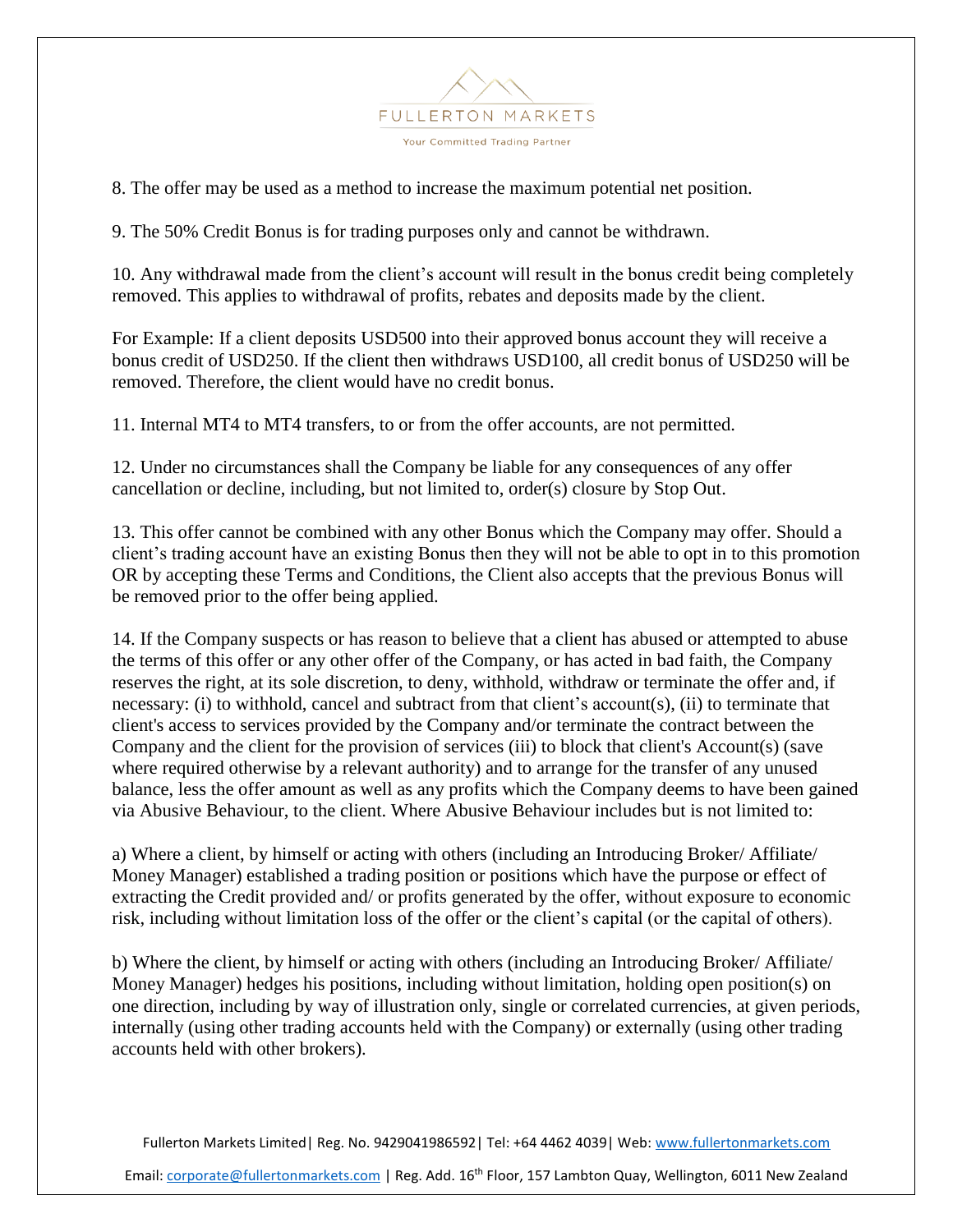

8. The offer may be used as a method to increase the maximum potential net position.

9. The 50% Credit Bonus is for trading purposes only and cannot be withdrawn.

10. Any withdrawal made from the client's account will result in the bonus credit being completely removed. This applies to withdrawal of profits, rebates and deposits made by the client.

For Example: If a client deposits USD500 into their approved bonus account they will receive a bonus credit of USD250. If the client then withdraws USD100, all credit bonus of USD250 will be removed. Therefore, the client would have no credit bonus.

11. Internal MT4 to MT4 transfers, to or from the offer accounts, are not permitted.

12. Under no circumstances shall the Company be liable for any consequences of any offer cancellation or decline, including, but not limited to, order(s) closure by Stop Out.

13. This offer cannot be combined with any other Bonus which the Company may offer. Should a client's trading account have an existing Bonus then they will not be able to opt in to this promotion OR by accepting these Terms and Conditions, the Client also accepts that the previous Bonus will be removed prior to the offer being applied.

14. If the Company suspects or has reason to believe that a client has abused or attempted to abuse the terms of this offer or any other offer of the Company, or has acted in bad faith, the Company reserves the right, at its sole discretion, to deny, withhold, withdraw or terminate the offer and, if necessary: (i) to withhold, cancel and subtract from that client's account(s), (ii) to terminate that client's access to services provided by the Company and/or terminate the contract between the Company and the client for the provision of services (iii) to block that client's Account(s) (save where required otherwise by a relevant authority) and to arrange for the transfer of any unused balance, less the offer amount as well as any profits which the Company deems to have been gained via Abusive Behaviour, to the client. Where Abusive Behaviour includes but is not limited to:

a) Where a client, by himself or acting with others (including an Introducing Broker/ Affiliate/ Money Manager) established a trading position or positions which have the purpose or effect of extracting the Credit provided and/ or profits generated by the offer, without exposure to economic risk, including without limitation loss of the offer or the client's capital (or the capital of others).

b) Where the client, by himself or acting with others (including an Introducing Broker/ Affiliate/ Money Manager) hedges his positions, including without limitation, holding open position(s) on one direction, including by way of illustration only, single or correlated currencies, at given periods, internally (using other trading accounts held with the Company) or externally (using other trading accounts held with other brokers).

Fullerton Markets Limited | Reg. No. 9429041986592 | Tel: +64 4462 4039 | Web: [www.fullertonmarkets.com](file:///C:/Users/Shawn/Dropbox/Fullerton%20Markets%20-%20for%20sharing/Compliance/Terms%20&%20Conditions/www.fullertonmarkets.com)

Email[: corporate@fullertonmarkets.com](mailto:corporate@fullertonmarkets.com) | Reg. Add. 16<sup>th</sup> Floor, 157 Lambton Quay, Wellington, 6011 New Zealand